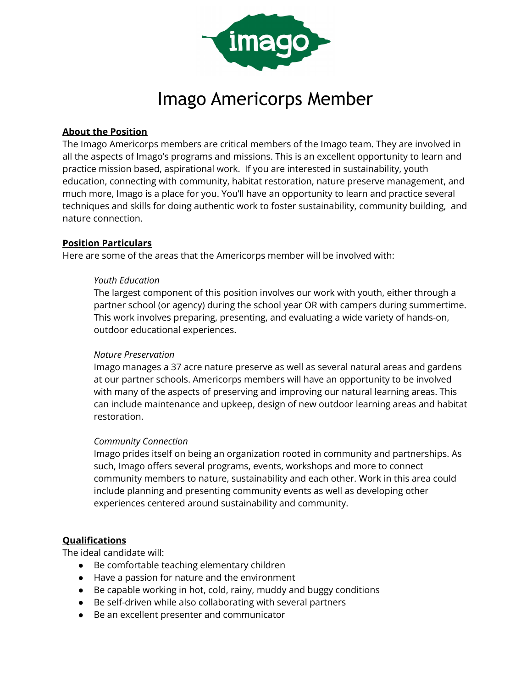

# Imago Americorps Member

# **About the Position**

The Imago Americorps members are critical members of the Imago team. They are involved in all the aspects of Imago's programs and missions. This is an excellent opportunity to learn and practice mission based, aspirational work. If you are interested in sustainability, youth education, connecting with community, habitat restoration, nature preserve management, and much more, Imago is a place for you. You'll have an opportunity to learn and practice several techniques and skills for doing authentic work to foster sustainability, community building, and nature connection.

## **Position Particulars**

Here are some of the areas that the Americorps member will be involved with:

#### *Youth Education*

The largest component of this position involves our work with youth, either through a partner school (or agency) during the school year OR with campers during summertime. This work involves preparing, presenting, and evaluating a wide variety of hands-on, outdoor educational experiences.

#### *Nature Preservation*

Imago manages a 37 acre nature preserve as well as several natural areas and gardens at our partner schools. Americorps members will have an opportunity to be involved with many of the aspects of preserving and improving our natural learning areas. This can include maintenance and upkeep, design of new outdoor learning areas and habitat restoration.

#### *Community Connection*

Imago prides itself on being an organization rooted in community and partnerships. As such, Imago offers several programs, events, workshops and more to connect community members to nature, sustainability and each other. Work in this area could include planning and presenting community events as well as developing other experiences centered around sustainability and community.

# **Qualifications**

The ideal candidate will:

- Be comfortable teaching elementary children
- Have a passion for nature and the environment
- Be capable working in hot, cold, rainy, muddy and buggy conditions
- Be self-driven while also collaborating with several partners
- Be an excellent presenter and communicator